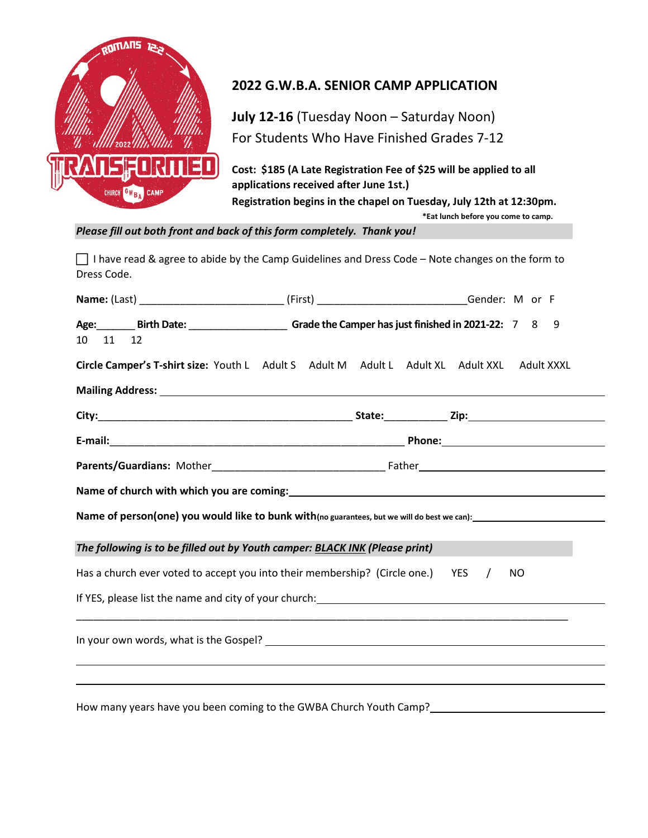

## 2022 G.W.B.A. SENIOR CAMP APPLICATION

July 12-16 (Tuesday Noon – Saturday Noon) For Students Who Have Finished Grades 7-12

Cost: \$185 (A Late Registration Fee of \$25 will be applied to all applications received after June 1st.) Registration begins in the chapel on Tuesday, July 12th at 12:30pm.

\*Eat lunch before you come to camp.

Please fill out both front and back of this form completely. Thank you!

□ I have read & agree to abide by the Camp Guidelines and Dress Code – Note changes on the form to Dress Code.

| 10 11 12                                                                                                                                                                                   | Age: Birth Date: Channel Grade the Camper has just finished in 2021-22: 7 8                 |                                                                                                                 |  |  |  |  | 9 |  |
|--------------------------------------------------------------------------------------------------------------------------------------------------------------------------------------------|---------------------------------------------------------------------------------------------|-----------------------------------------------------------------------------------------------------------------|--|--|--|--|---|--|
|                                                                                                                                                                                            | Circle Camper's T-shirt size: Youth L Adult S Adult M Adult L Adult XL Adult XXL Adult XXXL |                                                                                                                 |  |  |  |  |   |  |
|                                                                                                                                                                                            |                                                                                             |                                                                                                                 |  |  |  |  |   |  |
|                                                                                                                                                                                            |                                                                                             |                                                                                                                 |  |  |  |  |   |  |
|                                                                                                                                                                                            |                                                                                             |                                                                                                                 |  |  |  |  |   |  |
|                                                                                                                                                                                            |                                                                                             |                                                                                                                 |  |  |  |  |   |  |
|                                                                                                                                                                                            |                                                                                             |                                                                                                                 |  |  |  |  |   |  |
| Name of person(one) you would like to bunk with(no guarantees, but we will do best we can):<br>Name of person(one) you would like to bunk with(no guarantees, but we will do best we can): |                                                                                             |                                                                                                                 |  |  |  |  |   |  |
|                                                                                                                                                                                            | The following is to be filled out by Youth camper: BLACK INK (Please print)                 |                                                                                                                 |  |  |  |  |   |  |
| Has a church ever voted to accept you into their membership? (Circle one.) YES /<br>NO.                                                                                                    |                                                                                             |                                                                                                                 |  |  |  |  |   |  |
|                                                                                                                                                                                            |                                                                                             |                                                                                                                 |  |  |  |  |   |  |
|                                                                                                                                                                                            |                                                                                             |                                                                                                                 |  |  |  |  |   |  |
|                                                                                                                                                                                            |                                                                                             |                                                                                                                 |  |  |  |  |   |  |
|                                                                                                                                                                                            |                                                                                             | the contract of the contract of the contract of the contract of the contract of the contract of the contract of |  |  |  |  |   |  |

How many years have you been coming to the GWBA Church Youth Camp?